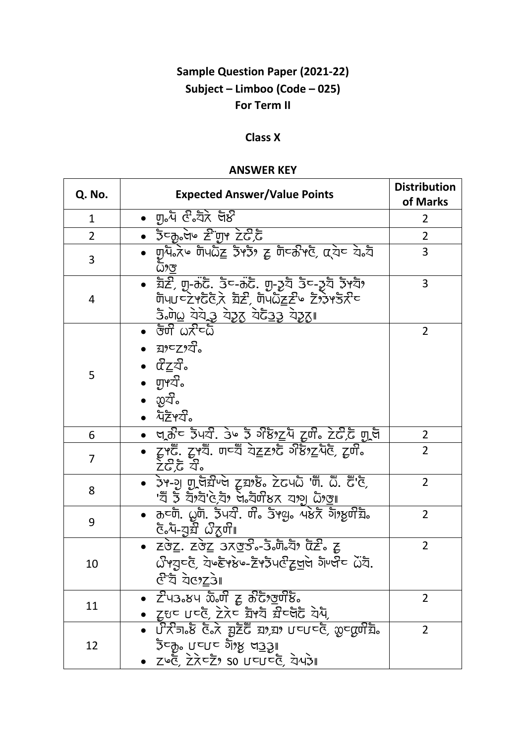## **Sample Question Paper (2021-22)** Subject - Limboo (Code - 025) For Term II

## **Class X**

## **ANSWER KEY**

| Q. No.         | <b>Expected Answer/Value Points</b>                                                                                                                                                            | <b>Distribution</b><br>of Marks |
|----------------|------------------------------------------------------------------------------------------------------------------------------------------------------------------------------------------------|---------------------------------|
| $\mathbf{1}$   | •   णु॰प &ेद्रोत्रे  ज्ञे४                                                                                                                                                                     | 2                               |
| $\overline{2}$ | • उँटकुलैं७ टैं णुभ टेटेंटैं                                                                                                                                                                   | 2                               |
| 3              | ∙   णु⁄पें∘⊼ें   णिपेंषेट्ट  उें भउँ?  ट्र  णेप्कें भुँटे,  α्येप  ये॰ये<br><u>ධි9ල </u>                                                                                                       | 3                               |
| 4              | • ঘ্ৰহ্নী, णु-कुटु: उूट-कुटु: णु-उूट्र उूट-उूट्र २५ट्रो<br><u> उँ जेल ये ये ये युद्ध ये ये युद्धा</u>                                                                                          | 3                               |
| 5              | ್ರಾಗೆ ದಿಸ್ತರಿ<br>• ಸುವರ್ಸ್<br>∙ ⊄ੇਂਟੂਕੌ∘<br>• ਗੁ਼ਾਟੌੰ.<br>• ਪੋਣੋ੧ਬੰੇ-                                                                                                                          | $\overline{2}$                  |
| 6              | ∙  ਯੂਨੌ <sup>ਟ</sup> ਤੋਪਕੰ. ਤੇ∾ ਤੋਂ <sup>ਤੇ</sup> ਲੇਂ? <u>ਟ</u> ਪੋ ਟੂਯੰੋੰ ਟੇਟੰੋੈਂਟ ਗ੍ਰੂਥੈਂ                                                                                                     | 2                               |
| $\overline{7}$ | ● टूभट्टॅ. टूभ्यॅं. णय्यॅं ये <u>ट्टर</u> ्टर्ट अर्छेश् <u>ट</u> र्पेट्, ट्रण <b>ैं</b><br><u>ਟੇ</u> ਟੋ,ਫੋ ਕੰ°                                                                                 | $\overline{2}$                  |
| 8              | • ਤੇਮ-ਹੂ ਗੁਰਬਿੰਮੇ ਟੁਬਾਲੇ ਟੇਟਪਨੇ 'ਯੋ. ਨੌ. ਫੌ'ਏ,<br>'ঘঁ ই ঘঁগ্ন'ৎ,য়ৈ নক্ষীসক বাগু টা <u>ঙা</u>                                                                                                  | $\overline{2}$                  |
| 9              | • কৰ্লী. এুটী. ইঁঘস্ট. টীঃ ইূপ্ড়ঃ এষ্টই গ্যাপ্তটীয়ীঃ<br>हैं. ये- <u>युर्वे क्षे</u> द्रणी                                                                                                    | $\overline{2}$                  |
| 10             | • ZŠZ. ZŠZ 3⊼TŠ.-3. Jī. Ži ČZ. E<br><u> ਪੰਮਹਵਾਣ ਹੋਵੀਲੇ ਸਿੱਚ ਸਿੰਦਰ ਹੋ ਹੋ ਹੋ ਹੁੰਦਾ ਹੁੰਦਾ ਹੁੰਦਾ ਹੁੰਦਾ ਹੁੰਦਾ ਹੁੰਦਾ ਹੁੰਦਾ ਹੁੰਦਾ ਹੁੰਦਾ ਹੁੰਦਾ ਹੁੰਦਾ ਹੁੰਦਾ ਹੁ</u><br>ঔ <sup>-</sup> য বগ <u>ৈ</u> য়ে। | $\overline{2}$                  |
| 11             | $\overline{Z}$ ਪਤੇ ਲਪ ਲੈਂਗੀ ਟੂ ਨੂੰਟੋਂ, ਰੂਯੋਲੇਂ<br>• ट्रुधर पर्व्ह, टेरेस्ट घ्रेभ्ये ग्रीय्जेट येप,                                                                                             | 2                               |
| 12             | • ਪੌਨੇਗ ਲੈ ਫੋਨੇ ਬੂਟੋਫੈਂ ਬਾ,ਬਾ ਪਵਪਵਰੋਂ, ਲੂਵਕ੍ਰਯੋਗ •<br>ે प्यो•े ∩∠∩≏ ગુ}ર્કે દ્રો કો<br>ZGE, ZZCZ, SO UCUCE, ZUZI                                                                               | $\overline{2}$                  |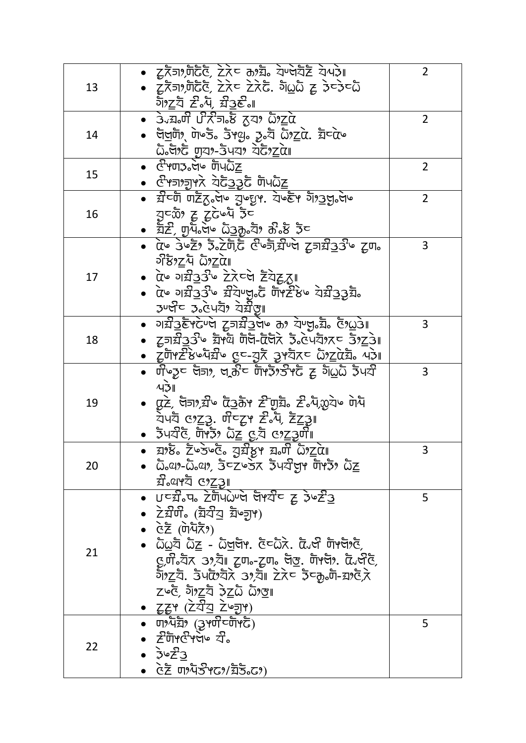| 13 | • टूर्रेज़१,णेर्दैर्डे, टेरेन कश्चे येण्जेर्येटे ये पेआ<br>• Σκενδιάς Σλε Σλέ. διωδ ε δεδεδ<br><u> ગેঁঁঁঁঁঁ ই. Ap ਬੌਤੇ</u> ਵਿੱਚ ਇਹ ਸਾ                                                                                                                                                                                                                                                                                                                                                                                                                                                                                                                        | $\overline{2}$ |
|----|--------------------------------------------------------------------------------------------------------------------------------------------------------------------------------------------------------------------------------------------------------------------------------------------------------------------------------------------------------------------------------------------------------------------------------------------------------------------------------------------------------------------------------------------------------------------------------------------------------------------------------------------------------------|----------------|
| 14 | • ਤੇੌੌੌਰੰਗ ਪੰਨੌਤ ਨੌਂ ਨੂੰ ਨਾ ਕੋੋਂ ਨੂੰ ਕ<br>∙ উ <u>লটা</u> , দৈ৬ঁউ উপ্ভূ   ঠূঃ   ঠিগ <u>ূ</u> ৫   ইিন্দে<br>ωδθιέ man-3447 ac72a                                                                                                                                                                                                                                                                                                                                                                                                                                                                                                                               | $\overline{2}$ |
| 15 | ঔঁ শেত্য <b>ী</b> উপটো<br>∙ ঔੇ ਅਗਾਗਰਾਨੇ ਕੋਟੋ <u>੩੩</u> ਟੋ ਯੋਪධ <u>ੈਂਟ</u>                                                                                                                                                                                                                                                                                                                                                                                                                                                                                                                                                                                    | 2              |
| 16 | • স্ন <sup>ত</sup> টা ঢাইঁত উপ য়ুড়পে, যুড্ছদ গ্যা <u>গ্</u> ৰস্ত প্ৰত<br>उद्याण है ट्रेटेड रेंट<br>•   ইৈ্ট, ঢ্যুদাঁ উত্ত উত্ৰক্যু ইয়া ক্ৰীষ্ট ইন                                                                                                                                                                                                                                                                                                                                                                                                                                                                                                         | 2              |
| 17 | <u>• αৈ ওক্ইঃ ই°চ্চাূূূহ দূল্যইক্ৰমণ ইযষ্ড ইলং</u><br>υδεντά ώλεται<br>• प्रे गरी33 में टेरेन्से हैंयेद्वारा<br>• αৈঁঁঁঁঁঁ এম্ব্ৰীত শ্ৰীয় এই উপৰ বিষ্টাৰ কাঁঁৱৰ বিষ্টা<br>ঞ্চ : ১৯৫५ই বৈয়পু।                                                                                                                                                                                                                                                                                                                                                                                                                                                               | 3              |
| 18 | • ગর্ঘ্রিষ্টদলৈ দূসর্ঘ্রিষ্ট কা যৈত্যু য়ূঁ উগ্রে3⊪<br>• ट्रजय्री336 घ्रेफ्ये णेजे-देजेरे ई. स्पेशे/रू उंश्र्य आ<br>● ટ્રुणॆYৈ? ইওঁওয়ে যুক্ট বুপ্যৰ ইস্টুই এই এই বি                                                                                                                                                                                                                                                                                                                                                                                                                                                                                         | 3              |
| 19 | $4\overline{3}$ ll<br>• ας ਫ਼ੋਰ ਕਿਹਾ, ਕੋ ਕਿਹੁ ਕੇ ਕਿਹਾ ਕਿ ਕਿਹਾ ਕਿ ਕਿਹਾ ਕਿ ਕਿਹਾ ਕਿ ਕ<br>ਧੋ੫ਧੋ ଓ୨ <u>Ζ</u> 3ੂ. ਯੌ⊂ਟ੍ਰ਼ਮ ਟੇ∘ਪ੍ਰੈ, ਟੈ <u>ਟ੍ਰ</u> 3ੂ⊪<br>∙ঁ ই੫য টৈ, টাঁপঁইঁঁ ১ঁ <u>ঁঁঁঁঁঁ ইঁঁঁ ζ তে ই</u> য়ুৰ্দীঁ ।                                                                                                                                                                                                                                                                                                                                                                                                                                               | 3              |
| 20 | • ঘাষ্ট Σঁ৬ষড়ি য়য়ীয়ুপ ঘলট গুইৌ                                                                                                                                                                                                                                                                                                                                                                                                                                                                                                                                                                                                                           | 3              |
| 21 | ੁੱਤੀ ਕਾਬ ਸੋ ਕਾ <u>ਟਤੂ।</u><br>• ਹਵਤੀ ਸਰ ਟੇਸਪੋ ਕਾਈ ਕਾਈ ਵਿੱਚ ਵਿੱਚ ਕਾਟੀ<br>∙   ਟੇਬੰਯੰ。(ਬ਼ੋਕੰੌਤ ਬੋ∾ਗ਼਼਼ਾ)<br>• ៤ੋਣੋ (णेपैरेरे)<br>∙  ఏ <u>ది</u> ই ఏ <u>z</u> - ఏ <u>ব</u> ৰ্ষি হৈতি হৈ দৈধী টাপ্লগ্ই<br>ওঁলি°গুৰ সংগ্ৰা ইল°-ইল° গুৰু দুৰ্দল্লঃ দুৰ্ধেৰ্ছ<br>গৈূ∑ই. উ੫টগ্রৈ ওগ্যাঁ। ঠλ⊂ উদ্কূ৹টা-ঘাওঁ,ি<br>τωξ ͽ້າ, ττά τους τους<br><u>• ਟੂਟ੍ਰਮ (ਟੋਕੀਕ ਟੇਅ੍ਗ੍ਰਮ)</u>                                                                                                                                                                                                                                                                                            | 5              |
| 22 | $\overline{\bullet}$ $\overline{u}$ $\overline{\bullet}$ $\overline{\bullet}$ $\overline{\bullet}$ $\overline{\bullet}$ $\overline{\bullet}$ $\overline{\bullet}$ $\overline{\bullet}$ $\overline{\bullet}$ $\overline{\bullet}$ $\overline{\bullet}$ $\overline{\bullet}$ $\overline{\bullet}$ $\overline{\bullet}$ $\overline{\bullet}$ $\overline{\bullet}$ $\overline{\bullet}$ $\overline{\bullet}$ $\overline{\bullet}$ $\overline{\bullet}$ $\overline{\bullet}$ $\overline{\bullet}$ $\overline{\bullet}$ $\overline{\$<br>$\bullet$ $\vec{z}$ দাঁপণ্ট প্লৈ $\circ$ য $\vec{a}$<br>$\bullet$ $\bar{z}$ ° $\bar{z}$ 3<br>• ៤ੋਣ  ण)ਪੋਠੌ਼ ਹਾ/ਬੋਤੋਂ ਹੈਂ) | 5              |